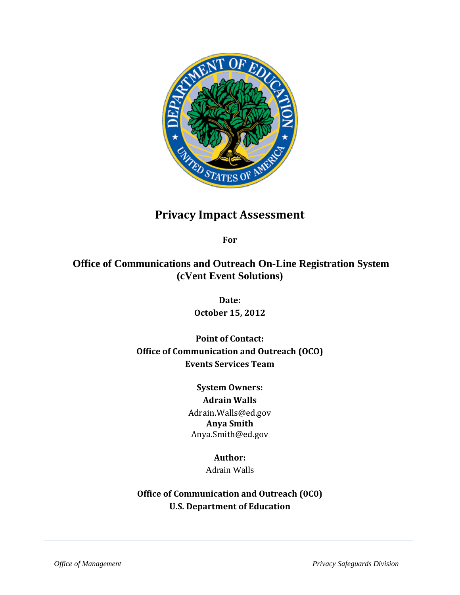

# **Privacy Impact Assessment**

**For**

## **Office of Communications and Outreach On-Line Registration System (cVent Event Solutions)**

**Date: October 15, 2012**

**Point of Contact: Office of Communication and Outreach (OCO) Events Services Team** 

## **System Owners:**

**Adrain Walls** Adrain.Walls@ed.gov **Anya Smith** Anya.Smith@ed.gov

### **Author:**

Adrain Walls

**Office of Communication and Outreach (0C0) U.S. Department of Education**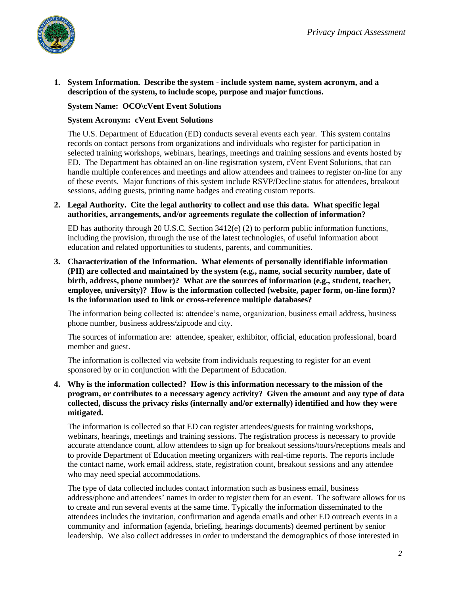

**1. System Information. Describe the system - include system name, system acronym, and a description of the system, to include scope, purpose and major functions.** 

#### **System Name: OCO\cVent Event Solutions**

#### **System Acronym: cVent Event Solutions**

The U.S. Department of Education (ED) conducts several events each year. This system contains records on contact persons from organizations and individuals who register for participation in selected training workshops, webinars, hearings, meetings and training sessions and events hosted by ED. The Department has obtained an on-line registration system, cVent Event Solutions, that can handle multiple conferences and meetings and allow attendees and trainees to register on-line for any of these events. Major functions of this system include RSVP/Decline status for attendees, breakout sessions, adding guests, printing name badges and creating custom reports.

#### **2. Legal Authority. Cite the legal authority to collect and use this data. What specific legal authorities, arrangements, and/or agreements regulate the collection of information?**

ED has authority through 20 U.S.C. Section 3412(e) (2) to perform public information functions, including the provision, through the use of the latest technologies, of useful information about education and related opportunities to students, parents, and communities.

**3. Characterization of the Information. What elements of personally identifiable information (PII) are collected and maintained by the system (e.g., name, social security number, date of birth, address, phone number)? What are the sources of information (e.g., student, teacher, employee, university)? How is the information collected (website, paper form, on-line form)? Is the information used to link or cross-reference multiple databases?** 

The information being collected is: attendee's name, organization, business email address, business phone number, business address/zipcode and city.

The sources of information are: attendee, speaker, exhibitor, official, education professional, board member and guest.

The information is collected via website from individuals requesting to register for an event sponsored by or in conjunction with the Department of Education.

**4. Why is the information collected? How is this information necessary to the mission of the program, or contributes to a necessary agency activity? Given the amount and any type of data collected, discuss the privacy risks (internally and/or externally) identified and how they were mitigated.** 

The information is collected so that ED can register attendees/guests for training workshops, webinars, hearings, meetings and training sessions. The registration process is necessary to provide accurate attendance count, allow attendees to sign up for breakout sessions/tours/receptions meals and to provide Department of Education meeting organizers with real-time reports. The reports include the contact name, work email address, state, registration count, breakout sessions and any attendee who may need special accommodations.

The type of data collected includes contact information such as business email, business address/phone and attendees' names in order to register them for an event. The software allows for us to create and run several events at the same time. Typically the information disseminated to the attendees includes the invitation, confirmation and agenda emails and other ED outreach events in a community and information (agenda, briefing, hearings documents) deemed pertinent by senior leadership. We also collect addresses in order to understand the demographics of those interested in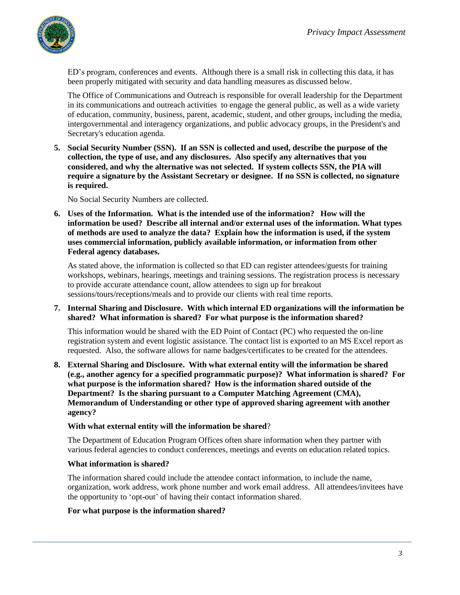

ED's program, conferences and events. Although there is a small risk in collecting this data, it has been properly mitigated with security and data handling measures as discussed below.

The Office of Communications and Outreach is responsible for overall leadership for the Department in its communications and outreach activities to engage the general public, as well as a wide variety of education, community, business, parent, academic, student, and other groups, including the media, intergovernmental and interagency organizations, and public advocacy groups, in the President's and Secretary's education agenda.

**5. Social Security Number (SSN). If an SSN is collected and used, describe the purpose of the collection, the type of use, and any disclosures. Also specify any alternatives that you considered, and why the alternative was not selected. If system collects SSN, the PIA will require a signature by the Assistant Secretary or designee. If no SSN is collected, no signature is required.** 

No Social Security Numbers are collected.

**6. Uses of the Information. What is the intended use of the information? How will the information be used? Describe all internal and/or external uses of the information. What types of methods are used to analyze the data? Explain how the information is used, if the system uses commercial information, publicly available information, or information from other Federal agency databases.** 

As stated above, the information is collected so that ED can register attendees/guests for training workshops, webinars, hearings, meetings and training sessions. The registration process is necessary to provide accurate attendance count, allow attendees to sign up for breakout sessions/tours/receptions/meals and to provide our clients with real time reports.

#### **7. Internal Sharing and Disclosure. With which internal ED organizations will the information be shared? What information is shared? For what purpose is the information shared?**

This information would be shared with the ED Point of Contact (PC) who requested the on-line registration system and event logistic assistance. The contact list is exported to an MS Excel report as requested. Also, the software allows for name badges/certificates to be created for the attendees.

**8. External Sharing and Disclosure. With what external entity will the information be shared (e.g., another agency for a specified programmatic purpose)? What information is shared? For what purpose is the information shared? How is the information shared outside of the Department? Is the sharing pursuant to a Computer Matching Agreement (CMA), Memorandum of Understanding or other type of approved sharing agreement with another agency?**

#### **With what external entity will the information be shared**?

The Department of Education Program Offices often share information when they partner with various federal agencies to conduct conferences, meetings and events on education related topics.

#### **What information is shared?**

The information shared could include the attendee contact information, to include the name, organization, work address, work phone number and work email address. All attendees/invitees have the opportunity to 'opt-out' of having their contact information shared.

#### **For what purpose is the information shared?**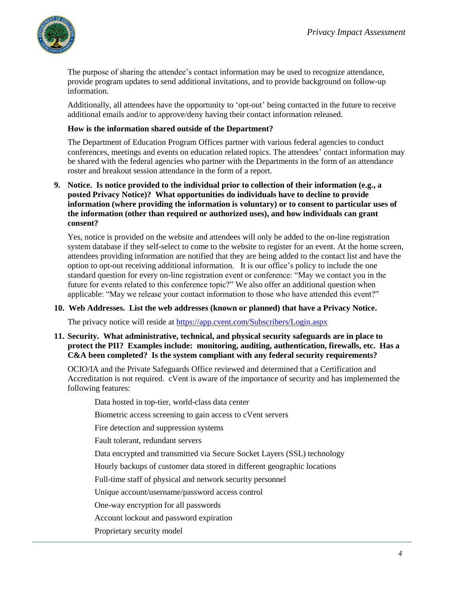

The purpose of sharing the attendee's contact information may be used to recognize attendance, provide program updates to send additional invitations, and to provide background on follow-up information.

Additionally, all attendees have the opportunity to 'opt-out' being contacted in the future to receive additional emails and/or to approve/deny having their contact information released.

#### **How is the information shared outside of the Department?**

The Department of Education Program Offices partner with various federal agencies to conduct conferences, meetings and events on education related topics. The attendees' contact information may be shared with the federal agencies who partner with the Departments in the form of an attendance roster and breakout session attendance in the form of a report.

**9. Notice. Is notice provided to the individual prior to collection of their information (e.g., a posted Privacy Notice)? What opportunities do individuals have to decline to provide information (where providing the information is voluntary) or to consent to particular uses of the information (other than required or authorized uses), and how individuals can grant consent?** 

Yes, notice is provided on the website and attendees will only be added to the on-line registration system database if they self-select to come to the website to register for an event. At the home screen, attendees providing information are notified that they are being added to the contact list and have the option to opt-out receiving additional information. It is our office's policy to include the one standard question for every on-line registration event or conference: "May we contact you in the future for events related to this conference topic?" We also offer an additional question when applicable: "May we release your contact information to those who have attended this event?"

#### **10. Web Addresses. List the web addresses (known or planned) that have a Privacy Notice.**

The privacy notice will reside at<https://app.cvent.com/Subscribers/Login.aspx>

#### **11. Security. What administrative, technical, and physical security safeguards are in place to protect the PII? Examples include: monitoring, auditing, authentication, firewalls, etc. Has a C&A been completed? Is the system compliant with any federal security requirements?**

OCIO/IA and the Private Safeguards Office reviewed and determined that a Certification and Accreditation is not required. cVent is aware of the importance of security and has implemented the following features:

Data hosted in top-tier, world-class data center

Biometric access screening to gain access to cVent servers

Fire detection and suppression systems

Fault tolerant, redundant servers

Data encrypted and transmitted via Secure Socket Layers (SSL) technology

Hourly backups of customer data stored in different geographic locations

Full-time staff of physical and network security personnel

Unique account/username/password access control

One-way encryption for all passwords

Account lockout and password expiration

Proprietary security model